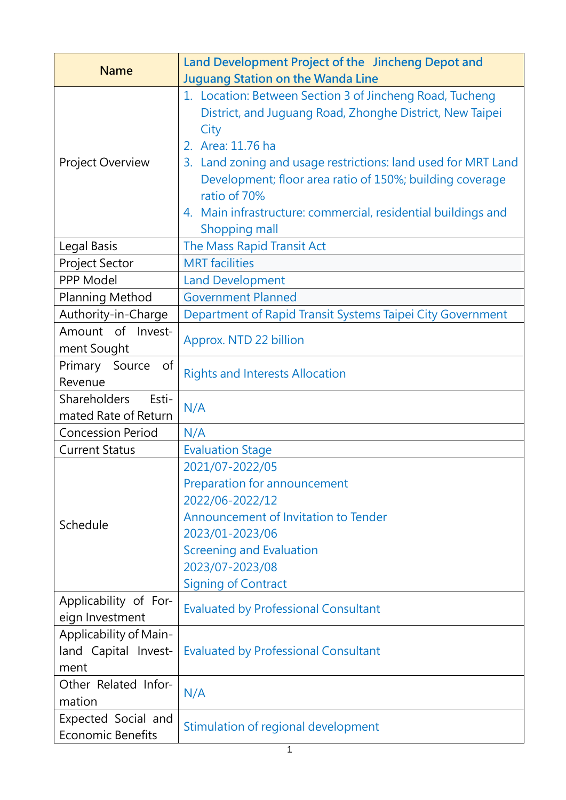| <b>Name</b>                                            | Land Development Project of the Jincheng Depot and<br><b>Juguang Station on the Wanda Line</b>                                                                                                                                                                                                                                                                                   |
|--------------------------------------------------------|----------------------------------------------------------------------------------------------------------------------------------------------------------------------------------------------------------------------------------------------------------------------------------------------------------------------------------------------------------------------------------|
| Project Overview                                       | 1. Location: Between Section 3 of Jincheng Road, Tucheng<br>District, and Juguang Road, Zhonghe District, New Taipei<br>City<br>2. Area: 11.76 ha<br>3. Land zoning and usage restrictions: land used for MRT Land<br>Development; floor area ratio of 150%; building coverage<br>ratio of 70%<br>4. Main infrastructure: commercial, residential buildings and<br>Shopping mall |
| Legal Basis                                            | The Mass Rapid Transit Act                                                                                                                                                                                                                                                                                                                                                       |
| Project Sector                                         | <b>MRT</b> facilities                                                                                                                                                                                                                                                                                                                                                            |
| PPP Model                                              | <b>Land Development</b>                                                                                                                                                                                                                                                                                                                                                          |
| <b>Planning Method</b>                                 | <b>Government Planned</b>                                                                                                                                                                                                                                                                                                                                                        |
| Authority-in-Charge                                    | Department of Rapid Transit Systems Taipei City Government                                                                                                                                                                                                                                                                                                                       |
| Amount of Invest-<br>ment Sought                       | Approx. NTD 22 billion                                                                                                                                                                                                                                                                                                                                                           |
| Primary<br>of<br>Source<br>Revenue                     | <b>Rights and Interests Allocation</b>                                                                                                                                                                                                                                                                                                                                           |
| <b>Shareholders</b><br>Esti-<br>mated Rate of Return   | N/A                                                                                                                                                                                                                                                                                                                                                                              |
| <b>Concession Period</b>                               | N/A                                                                                                                                                                                                                                                                                                                                                                              |
| <b>Current Status</b>                                  | <b>Evaluation Stage</b>                                                                                                                                                                                                                                                                                                                                                          |
| Schedule                                               | 2021/07-2022/05<br>Preparation for announcement<br>2022/06-2022/12<br>Announcement of Invitation to Tender<br>2023/01-2023/06<br><b>Screening and Evaluation</b><br>2023/07-2023/08<br><b>Signing of Contract</b>                                                                                                                                                                |
| Applicability of For-<br>eign Investment               | <b>Evaluated by Professional Consultant</b>                                                                                                                                                                                                                                                                                                                                      |
| Applicability of Main-<br>land Capital Invest-<br>ment | <b>Evaluated by Professional Consultant</b>                                                                                                                                                                                                                                                                                                                                      |
| Other Related Infor-<br>mation                         | N/A                                                                                                                                                                                                                                                                                                                                                                              |
| Expected Social and<br><b>Economic Benefits</b>        | Stimulation of regional development                                                                                                                                                                                                                                                                                                                                              |